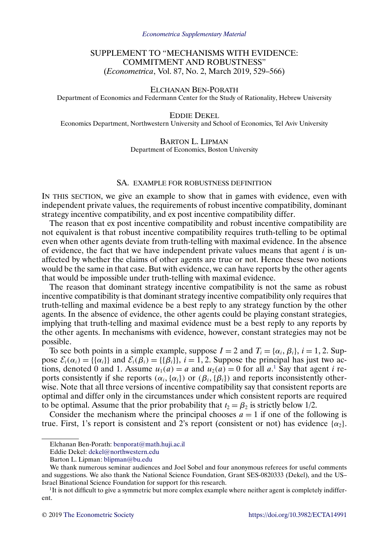# SUPPLEMENT TO "MECHANISMS WITH EVIDENCE: COMMITMENT AND ROBUSTNESS" (*Econometrica*, Vol. 87, No. 2, March 2019, 529–566)

## ELCHANAN BEN-PORATH

Department of Economics and Federmann Center for the Study of Rationality, Hebrew University

EDDIE DEKEL

Economics Department, Northwestern University and School of Economics, Tel Aviv University

### BARTON L. LIPMAN Department of Economics, Boston University

### SA. EXAMPLE FOR ROBUSTNESS DEFINITION

IN THIS SECTION, we give an example to show that in games with evidence, even with independent private values, the requirements of robust incentive compatibility, dominant strategy incentive compatibility, and ex post incentive compatibility differ.

The reason that ex post incentive compatibility and robust incentive compatibility are not equivalent is that robust incentive compatibility requires truth-telling to be optimal even when other agents deviate from truth-telling with maximal evidence. In the absence of evidence, the fact that we have independent private values means that agent  $i$  is unaffected by whether the claims of other agents are true or not. Hence these two notions would be the same in that case. But with evidence, we can have reports by the other agents that would be impossible under truth-telling with maximal evidence.

The reason that dominant strategy incentive compatibility is not the same as robust incentive compatibility is that dominant strategy incentive compatibility only requires that truth-telling and maximal evidence be a best reply to any strategy function by the other agents. In the absence of evidence, the other agents could be playing constant strategies, implying that truth-telling and maximal evidence must be a best reply to any reports by the other agents. In mechanisms with evidence, however, constant strategies may not be possible.

To see both points in a simple example, suppose  $I = 2$  and  $T_i = \{\alpha_i, \beta_i\}, i = 1, 2$ . Suppose  $\mathcal{E}_i(\alpha_i) = {\alpha_i}$  and  $\mathcal{E}_i(\beta_i) = {\beta_i}$ ,  $i = 1, 2$ . Suppose the principal has just two actions, denoted 0 and 1. Assume  $u_1(a) = a$  and  $u_2(a) = 0$  for all  $a$ .<sup>1</sup> Say that agent *i* reports consistently if she reports ( $\alpha_i$ ,  $\{\alpha_i\}$ ) or ( $\beta_i$ ,  $\{\beta_i\}$ ) and reports inconsistently otherwise. Note that all three versions of incentive compatibility say that consistent reports are optimal and differ only in the circumstances under which consistent reports are required to be optimal. Assume that the prior probability that  $t_2 = \beta_2$  is strictly below 1/2.

Consider the mechanism where the principal chooses  $a = 1$  if one of the following is true. First, 1's report is consistent and 2's report (consistent or not) has evidence  $\{\alpha_2\}$ .

Elchanan Ben-Porath: [benporat@math.huji.ac.il](mailto:benporat@math.huji.ac.il)

Eddie Dekel: [dekel@northwestern.edu](mailto:dekel@northwestern.edu)

Barton L. Lipman: [blipman@bu.edu](mailto:blipman@bu.edu)

We thank numerous seminar audiences and Joel Sobel and four anonymous referees for useful comments and suggestions. We also thank the National Science Foundation, Grant SES-0820333 (Dekel), and the US– Israel Binational Science Foundation for support for this research.

<sup>&</sup>lt;sup>1</sup>It is not difficult to give a symmetric but more complex example where neither agent is completely indifferent.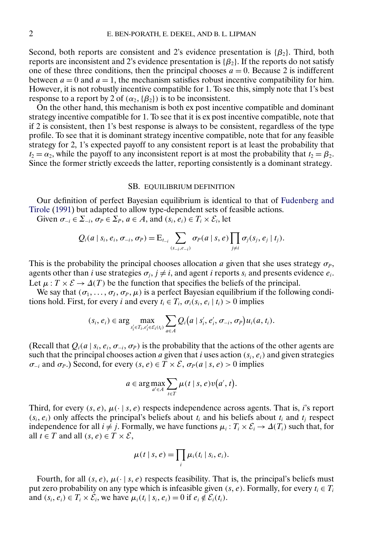<span id="page-1-0"></span>Second, both reports are consistent and 2's evidence presentation is  $\{\beta_2\}$ . Third, both reports are inconsistent and 2's evidence presentation is  $\{\beta_2\}$ . If the reports do not satisfy one of these three conditions, then the principal chooses  $a = 0$ . Because 2 is indifferent between  $a = 0$  and  $a = 1$ , the mechanism satisfies robust incentive compatibility for him. However, it is not robustly incentive compatible for 1. To see this, simply note that 1's best response to a report by 2 of  $(\alpha_2, {\{\beta_2\}})$  is to be inconsistent.

On the other hand, this mechanism is both ex post incentive compatible and dominant strategy incentive compatible for 1. To see that it is ex post incentive compatible, note that if 2 is consistent, then 1's best response is always to be consistent, regardless of the type profile. To see that it is dominant strategy incentive compatible, note that for any feasible strategy for 2, 1's expected payoff to any consistent report is at least the probability that  $t_2 = \alpha_2$ , while the payoff to any inconsistent report is at most the probability that  $t_2 = \beta_2$ . Since the former strictly exceeds the latter, reporting consistently is a dominant strategy.

### SB. EQUILIBRIUM DEFINITION

Our definition of perfect Bayesian equilibrium is identical to that of [Fudenberg and](#page-14-0) [Tirole](#page-14-0) [\(1991\)](#page-14-0) but adapted to allow type-dependent sets of feasible actions.

Given  $\sigma_{-i} \in \Sigma_{-i}$ ,  $\sigma_P \in \Sigma_P$ ,  $a \in A$ , and  $(s_i, e_i) \in T_i \times \mathcal{E}_i$ , let

$$
Q_i(a \mid s_i, e_i, \sigma_{-i}, \sigma_P) = \mathrm{E}_{t_{-i}} \sum_{(s_{-i}, e_{-i})} \sigma_P(a \mid s, e) \prod_{j \neq i} \sigma_j(s_j, e_j \mid t_j).
$$

This is the probability the principal chooses allocation a given that she uses strategy  $\sigma_P$ , agents other than i use strategies  $\sigma_i$ ,  $j \neq i$ , and agent i reports  $s_i$  and presents evidence  $e_i$ . Let  $\mu: T \times \mathcal{E} \to \Delta(T)$  be the function that specifies the beliefs of the principal.

We say that  $(\sigma_1, \ldots, \sigma_I, \sigma_P, \mu)$  is a perfect Bayesian equilibrium if the following conditions hold. First, for every i and every  $t_i \in T_i$ ,  $\sigma_i(s_i, e_i | t_i) > 0$  implies

$$
(s_i, e_i) \in \arg\max_{s'_i \in T_i, e'_i \in \mathcal{E}_i(t_i)} \sum_{a \in A} Q_i(a \mid s'_i, e'_i, \sigma_{-i}, \sigma_P) u_i(a, t_i).
$$

(Recall that  $Q_i(a \mid s_i, e_i, \sigma_{-i}, \sigma_P)$  is the probability that the actions of the other agents are such that the principal chooses action a given that i uses action  $(s_i, e_i)$  and given strategies  $\sigma_{-i}$  and  $\sigma_{P}$ .) Second, for every  $(s, e) \in T \times \mathcal{E}$ ,  $\sigma_{P}(a \mid s, e) > 0$  implies

$$
a \in \arg\max_{a' \in A} \sum_{t \in T} \mu(t \mid s, e) v(a', t).
$$

Third, for every  $(s, e)$ ,  $\mu(\cdot | s, e)$  respects independence across agents. That is, *i*'s report  $(s_i, e_i)$  only affects the principal's beliefs about  $t_i$  and his beliefs about  $t_i$  and  $t_j$  respect independence for all  $i \neq j$ . Formally, we have functions  $\mu_i : T_i \times \mathcal{E}_i \to \Delta(T_i)$  such that, for all  $t \in T$  and all  $(s, e) \in T \times \mathcal{E}$ ,

$$
\mu(t \mid s, e) = \prod_i \mu_i(t_i \mid s_i, e_i).
$$

Fourth, for all  $(s, e)$ ,  $\mu(\cdot | s, e)$  respects feasibility. That is, the principal's beliefs must put zero probability on any type which is infeasible given  $(s, e)$ . Formally, for every  $t_i \in T_i$ and  $(s_i, e_i) \in T_i \times \mathcal{E}_i$ , we have  $\mu_i(t_i \mid s_i, e_i) = 0$  if  $e_i \notin \mathcal{E}_i(t_i)$ .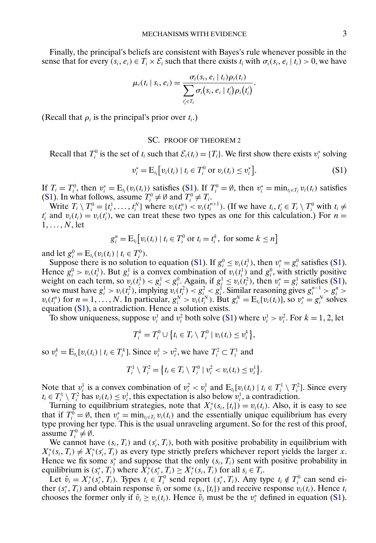Finally, the principal's beliefs are consistent with Bayes's rule whenever possible in the sense that for every  $(s_i, e_i) \in T_i \times \mathcal{E}_i$  such that there exists  $t_i$  with  $\sigma_i(s_i, e_i | t_i) > 0$ , we have

$$
\mu_i(t_i \mid s_i, e_i) = \frac{\sigma_i(s_i, e_i \mid t_i) \rho_i(t_i)}{\sum_{t'_i \in T_i} \sigma_i(s_i, e_i \mid t'_i) \rho_i(t'_i)}.
$$

(Recall that  $\rho_i$  is the principal's prior over  $t_i$ .)

### SC. PROOF OF THEOREM 2

Recall that  $T_i^0$  is the set of  $t_i$  such that  $\mathcal{E}_i(t_i) = \{T_i\}$ . We first show there exists  $v_i^*$  solving

$$
v_i^* = \mathbf{E}_{t_i} \big[ v_i(t_i) \mid t_i \in T_i^0 \text{ or } v_i(t_i) \le v_i^* \big]. \tag{S1}
$$

If  $T_i = T_i^0$ , then  $v_i^* = E_{t_i}(v_i(t_i))$  satisfies (S1). If  $T_i^0 = \emptyset$ , then  $v_i^* = \min_{t_i \in T_i} v_i(t_i)$  satisfies (S1). In what follows, assume  $T_i^0 \neq \emptyset$  and  $T_i^0 \neq T_i$ .

Write  $T_i \setminus T_i^0 = \{t_i^1, \ldots, t_i^N\}$  where  $v_i(t_i^n) < v_i(t_i^{n+1})$ . (If we have  $t_i, t_i \in T_i \setminus T_i^0$  with  $t_i \neq$  $t_i'$  and  $v_i(t_i) = v_i(t_i')$ , we can treat these two types as one for this calculation.) For  $n =$  $1, \ldots, N$ , let

$$
g_i^n = \mathrm{E}_{t_i}[v_i(t_i) \mid t_i \in T_i^0 \text{ or } t_i = t_i^k, \text{ for some } k \leq n]
$$

and let  $g_i^0 = E_{t_i}(v_i(t_i) | t_i \in T_i^0)$ .

Suppose there is no solution to equation (S1). If  $g_i^0 \le v_i(t_i^1)$ , then  $v_i^* = g_i^0$  satisfies (S1). Hence  $g_i^0 > v_i(t_i^1)$ . But  $g_i^1$  is a convex combination of  $v_i(t_i^1)$  and  $g_i^0$ , with strictly positive weight on each term, so  $v_i(t_i^1) < g_i^1 < g_i^0$ . Again, if  $g_i^1 \le v_i(t_i^2)$ , then  $v_i^* = g_i^1$  satisfies (S1), so we must have  $g_i^1 > v_i(t_i^2)$ , implying  $v_i(t_i^2) < g_i^2 < g_i^1$ . Similar reasoning gives  $g_i^{n-1} > g_i^n >$  $v_i(t_i^n)$  for  $n = 1, ..., N$ . In particular,  $g_i^N > v_i(t_i^N)$ . But  $g_i^N = E_{t_i}[v_i(t_i)]$ , so  $v_i^* = g_i^N$  solves equation (S1), a contradiction. Hence a solution exists.

To show uniqueness, suppose  $v_i^1$  and  $v_i^2$  both solve (S1) where  $v_i^1 > v_i^2$ . For  $k = 1, 2$ , let

$$
T_i^k = T_i^0 \cup \left\{ t_i \in T_i \setminus T_i^0 \mid v_i(t_i) \leq v_i^k \right\},\
$$

so  $v_i^k = E_{t_i}[v_i(t_i) | t_i \in T_i^k]$ . Since  $v_i^1 > v_i^2$ , we have  $T_i^2 \subset T_i^1$  and

$$
T_i^1 \setminus T_i^2 = \{ t_i \in T_i \setminus T_i^0 \mid v_i^2 < v_i(t_i) \leq v_i^1 \}.
$$

Note that  $v_i^1$  is a convex combination of  $v_i^2 < v_i^1$  and  $E_{t_i}[v_i(t_i) | t_i \in T_i^1 \setminus T_i^2]$ . Since every  $t_i \in T_i^1 \setminus T_i^2$  has  $v_i(t_i) \leq v_i^1$ , this expectation is also below  $v_i^1$ , a contradiction.

Turning to equilibrium strategies, note that  $X_i^*(s_i, \{t_i\}) = v_i(t_i)$ . Also, it is easy to see that if  $T_i^0 = \emptyset$ , then  $v_i^* = \min_{t_i \in T_i} v_i(t_i)$  and the essentially unique equilibrium has every type proving her type. This is the usual unraveling argument. So for the rest of this proof, assume  $T_i^0 \neq \emptyset$ .

We cannot have  $(s_i, T_i)$  and  $(s'_i, T_i)$ , both with positive probability in equilibrium with  $X_i^*(s_i, T_i) \neq X_i^*(s_i', T_i)$  as every type strictly prefers whichever report yields the larger x. Hence we fix some  $s_i^*$  and suppose that the only  $(s_i, T_i)$  sent with positive probability in equilibrium is  $(s_i^*, T_i)$  where  $\overline{X}_i^*(s_i^*, T_i) \geq X_i^*(s_i, T_i)$  for all  $s_i \in T_i$ .

Let  $\tilde{v}_i = X_i^*(s_i^*, T_i)$ . Types  $t_i \in T_i^0$  send report  $(s_i^*, T_i)$ . Any type  $t_i \notin T_i^0$  can send either  $(s_i^*, T_i)$  and obtain response  $\tilde{v}_i$  or some  $(s_i, \{t_i\})$  and receive response  $v_i(t_i)$ . Hence  $t_i$ chooses the former only if  $\tilde{v}_i \ge v_i(t_i)$ . Hence  $\tilde{v}_i$  must be the  $v_i^*$  defined in equation (S1).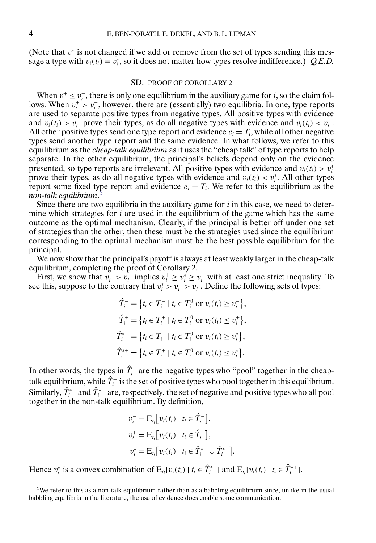(Note that  $v^*$  is not changed if we add or remove from the set of types sending this message a type with  $v_i(t_i) = v_i^*$ , so it does not matter how types resolve indifference.) *Q.E.D.* 

#### SD. PROOF OF COROLLARY 2

When  $v_i^+ \le v_i^-$ , there is only one equilibrium in the auxiliary game for i, so the claim follows. When  $v_i^+ > v_i^-$ , however, there are (essentially) two equilibria. In one, type reports are used to separate positive types from negative types. All positive types with evidence and  $v_i(t_i) > v_i^+$  prove their types, as do all negative types with evidence and  $v_i(t_i) < v_i^-$ . All other positive types send one type report and evidence  $e_i = T_i$ , while all other negative types send another type report and the same evidence. In what follows, we refer to this equilibrium as the *cheap-talk equilibrium* as it uses the "cheap talk" of type reports to help separate. In the other equilibrium, the principal's beliefs depend only on the evidence presented, so type reports are irrelevant. All positive types with evidence and  $v_i(t_i) > v_i^*$ prove their types, as do all negative types with evidence and  $v_i(t_i) < v_i^*$ . All other types report some fixed type report and evidence  $e_i = T_i$ . We refer to this equilibrium as the *non-talk equilibrium*. 2

Since there are two equilibria in the auxiliary game for  $i$  in this case, we need to determine which strategies for  $i$  are used in the equilibrium of the game which has the same outcome as the optimal mechanism. Clearly, if the principal is better off under one set of strategies than the other, then these must be the strategies used since the equilibrium corresponding to the optimal mechanism must be the best possible equilibrium for the principal.

We now show that the principal's payoff is always at least weakly larger in the cheap-talk equilibrium, completing the proof of Corollary 2.

First, we show that  $v_i^+ > v_i^-$  implies  $v_i^+ \ge v_i^* \ge v_i^-$  with at least one strict inequality. To see this, suppose to the contrary that  $v_i^* > v_i^+ > v_i^-$ . Define the following sets of types:

$$
\hat{T}_i^- = \{ t_i \in T_i^- \mid t_i \in T_i^0 \text{ or } v_i(t_i) \ge v_i^- \},\
$$
  

$$
\hat{T}_i^+ = \{ t_i \in T_i^+ \mid t_i \in T_i^0 \text{ or } v_i(t_i) \le v_i^+ \},\
$$
  

$$
\hat{T}_i^{*-} = \{ t_i \in T_i^- \mid t_i \in T_i^0 \text{ or } v_i(t_i) \ge v_i^* \},\
$$
  

$$
\hat{T}_i^{**} = \{ t_i \in T_i^+ \mid t_i \in T_i^0 \text{ or } v_i(t_i) \le v_i^* \}.
$$

In other words, the types in  $\hat{T}_i^-$  are the negative types who "pool" together in the cheaptalk equilibrium, while  $\hat{T}^+_i$  is the set of positive types who pool together in this equilibrium. Similarly,  $\hat{T}_i^{*-}$  and  $\hat{T}_i^{*+}$  are, respectively, the set of negative and positive types who all pool together in the non-talk equilibrium. By definition,

$$
v_i^- = E_{t_i} [v_i(t_i) | t_i \in \hat{T}_i^-],
$$
  
\n
$$
v_i^+ = E_{t_i} [v_i(t_i) | t_i \in \hat{T}_i^+],
$$
  
\n
$$
v_i^* = E_{t_i} [v_i(t_i) | t_i \in \hat{T}_i^{*-} \cup \hat{T}_i^{*+}].
$$

Hence  $v_i^*$  is a convex combination of  $E_{t_i}[v_i(t_i) | t_i \in \hat{T}_i^{*-}]$  and  $E_{t_i}[v_i(t_i) | t_i \in \hat{T}_i^{*+}]$ .

 $2W$ e refer to this as a non-talk equilibrium rather than as a babbling equilibrium since, unlike in the usual babbling equilibria in the literature, the use of evidence does enable some communication.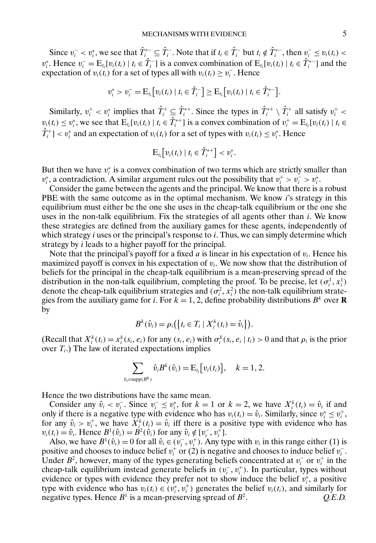Since  $v_i^- < v_i^*$ , we see that  $\hat{T}_i^* \subseteq \hat{T}_i^-$ . Note that if  $t_i \in \hat{T}_i^-$  but  $t_i \notin \hat{T}_i^{*-}$ , then  $v_i^- \le v_i(t_i) <$  $v_i^*$ . Hence  $v_i^- = E_{t_i} [v_i(t_i) | t_i \in \hat{T}_i^-]$  is a convex combination of  $E_{t_i} [v_i(t_i) | t_i \in \hat{T}_i^*]$  and the expectation of  $v_i(t_i)$  for a set of types all with  $v_i(t_i) \ge v_i^-$ . Hence

$$
v_i^* > v_i^- = \mathrm{E}_{t_i} \big[ v_i(t_i) \mid t_i \in \hat{T}_i^- \big] \geq \mathrm{E}_{t_i} \big[ v_i(t_i) \mid t_i \in \hat{T}_i^{*-} \big].
$$

Similarly,  $v_i^+ < v_i^*$  implies that  $\hat{T}_i^+ \subseteq \hat{T}_i^{*+}$ . Since the types in  $\hat{T}_i^{*+} \setminus \hat{T}_i^+$  all satisfy  $v_i^+ <$  $v_i(t_i) \le v_i^*$ , we see that  $E_{t_i}[v_i(t_i) | t_i \in \hat{T}_i^{*+}]$  is a convex combination of  $v_i^+ = E_{t_i}[v_i(t_i) | t_i \in$  $\hat{T}_i^+$ ] <  $v_i^*$  and an expectation of  $v_i(t_i)$  for a set of types with  $v_i(t_i) \le v_i^*$ . Hence

$$
\mathrm{E}_{t_i}\big[v_i(t_i)\mid t_i\in \hat{T}_i^{*+}\big] < v_i^*.
$$

But then we have  $v_i^*$  is a convex combination of two terms which are strictly smaller than  $v_i^*$ , a contradiction. A similar argument rules out the possibility that  $v_i^+ > v_i^- > v_i^*$ .

Consider the game between the agents and the principal. We know that there is a robust PBE with the same outcome as in the optimal mechanism. We know  $i$ 's strategy in this equilibrium must either be the one she uses in the cheap-talk equilibrium or the one she uses in the non-talk equilibrium. Fix the strategies of all agents other than i. We know these strategies are defined from the auxiliary games for these agents, independently of which strategy  $i$  uses or the principal's response to  $i$ . Thus, we can simply determine which strategy by i leads to a higher payoff for the principal.

Note that the principal's payoff for a fixed a is linear in his expectation of  $v_i$ . Hence his maximized payoff is convex in his expectation of  $v_i$ . We now show that the distribution of beliefs for the principal in the cheap-talk equilibrium is a mean-preserving spread of the distribution in the non-talk equilibrium, completing the proof. To be precise, let  $(\sigma_i^1, x_i^1)$ denote the cheap-talk equilibrium strategies and  $(\sigma_i^2, x_i^2)$  the non-talk equilibrium strategies from the auxiliary game for i. For  $k = 1, 2$ , define probability distributions  $B^k$  over **R** by

$$
B^{k}(\hat{v}_i) = \rho_i\big(\big\{t_i \in T_i \mid X_i^{k}(t_i) = \hat{v}_i\big\}\big).
$$

(Recall that  $X_i^k(t_i) = x_i^k(s_i, e_i)$  for any  $(s_i, e_i)$  with  $\sigma_i^k(s_i, e_i | t_i) > 0$  and that  $\rho_i$  is the prior over  $T_i$ .) The law of iterated expectations implies

$$
\sum_{\hat{v}_i \in \text{supp}(B^k)} \hat{v}_i B^k(\hat{v}_i) = \mathrm{E}_{t_i}[v_i(t_i)], \quad k = 1, 2.
$$

Hence the two distributions have the same mean.

Consider any  $\hat{v}_i < v_i^-$ . Since  $v_i^- \le v_i^*$ , for  $k = 1$  or  $k = 2$ , we have  $X_i^k(t_i) = \hat{v}_i$  if and only if there is a negative type with evidence who has  $v_i(t_i) = \hat{v}_i$ . Similarly, since  $v_i^* \le v_i^+$ , for any  $\hat{v}_i > v_i^+$ , we have  $X_i^k(t_i) = \hat{v}_i$  iff there is a positive type with evidence who has  $v_i(t_i) = \hat{v}_i$ . Hence  $B^1(\hat{v}_i) = B^2(\hat{v}_i)$  for any  $\hat{v}_i \notin [v_i^-, v_i^+]$ .

Also, we have  $B^1(\hat{v}_i) = 0$  for all  $\hat{v}_i \in (v_i^-, v_i^+)$ . Any type with  $v_i$  in this range either (1) is positive and chooses to induce belief  $v_i^+$  or (2) is negative and chooses to induce belief  $v_i^-$ . Under  $B^2$ , however, many of the types generating beliefs concentrated at  $v_i^-$  or  $v_i^+$  in the cheap-talk equilibrium instead generate beliefs in  $(v_i^-, v_i^+)$ . In particular, types without evidence or types with evidence they prefer not to show induce the belief  $v_i^*$ , a positive type with evidence who has  $v_i(t_i) \in (v_i^*, v_i^+)$  generates the belief  $v_i(t_i)$ , and similarly for negative types. Hence  $B^1$  is a mean-preserving spread of  $B^2$ .  $Q.E.D.$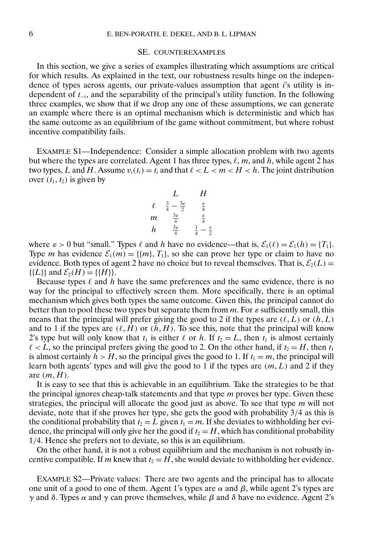#### SE. COUNTEREXAMPLES

In this section, we give a series of examples illustrating which assumptions are critical for which results. As explained in the text, our robustness results hinge on the independence of types across agents, our private-values assumption that agent  $i$ 's utility is independent of t<sup>−</sup>i, and the separability of the principal's utility function. In the following three examples, we show that if we drop any one of these assumptions, we can generate an example where there is an optimal mechanism which is deterministic and which has the same outcome as an equilibrium of the game without commitment, but where robust incentive compatibility fails.

EXAMPLE S1—Independence: Consider a simple allocation problem with two agents but where the types are correlated. Agent 1 has three types,  $\ell$ ,  $m$ , and  $h$ , while agent 2 has two types, L and H. Assume  $v_i(t_i) = t_i$  and that  $\ell < L < m < H < h$ . The joint distribution over  $(t_1, t_2)$  is given by

| L      | H                                      |                                       |
|--------|----------------------------------------|---------------------------------------|
| $\ell$ | $\frac{3}{4} - \frac{3\varepsilon}{2}$ | $\frac{\varepsilon}{4}$               |
| m      | $\frac{3\varepsilon}{4}$               | $\frac{\varepsilon}{4}$               |
| h      | $\frac{3\varepsilon}{4}$               | $\frac{1}{4} - \frac{\varepsilon}{2}$ |

where  $\varepsilon > 0$  but "small." Types  $\ell$  and h have no evidence—that is,  $\mathcal{E}_1(\ell) = \mathcal{E}_1(h) = \{T_1\}$ . Type *m* has evidence  $\mathcal{E}_1(m) = \{(m, T_1)\}\$ , so she can prove her type or claim to have no evidence. Both types of agent 2 have no choice but to reveal themselves. That is,  $\mathcal{E}_2(L)$  =  $\{L\}$  and  $\mathcal{E}_2(H) = \{H\}$ .

Because types  $\ell$  and h have the same preferences and the same evidence, there is no way for the principal to effectively screen them. More specifically, there is an optimal mechanism which gives both types the same outcome. Given this, the principal cannot do better than to pool these two types but separate them from  $m$ . For  $\varepsilon$  sufficiently small, this means that the principal will prefer giving the good to 2 if the types are  $(\ell, L)$  or  $(h, L)$ and to 1 if the types are  $(\ell, H)$  or  $(h, H)$ . To see this, note that the principal will know 2's type but will only know that  $t_1$  is either  $\ell$  or h. If  $t_2 = L$ , then  $t_1$  is almost certainly  $\ell < L$ , so the principal prefers giving the good to 2. On the other hand, if  $t_2 = H$ , then  $t_1$ is almost certainly  $h > H$ , so the principal gives the good to 1. If  $t_1 = m$ , the principal will learn both agents' types and will give the good to 1 if the types are  $(m, L)$  and 2 if they are  $(m, H)$ .

It is easy to see that this is achievable in an equilibrium. Take the strategies to be that the principal ignores cheap-talk statements and that type  $m$  proves her type. Given these strategies, the principal will allocate the good just as above. To see that type  $m$  will not deviate, note that if she proves her type, she gets the good with probability 3/4 as this is the conditional probability that  $t_2 = L$  given  $t_1 = m$ . If she deviates to withholding her evidence, the principal will only give her the good if  $t_2 = H$ , which has conditional probability 1/4. Hence she prefers not to deviate, so this is an equilibrium.

On the other hand, it is not a robust equilibrium and the mechanism is not robustly incentive compatible. If m knew that  $t_2 = H$ , she would deviate to withholding her evidence.

EXAMPLE S2—Private values: There are two agents and the principal has to allocate one unit of a good to one of them. Agent 1's types are  $\alpha$  and  $\beta$ , while agent 2's types are γ and δ. Types α and γ can prove themselves, while β and δ have no evidence. Agent 2's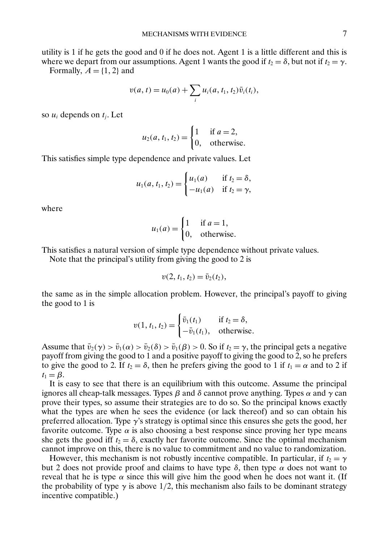utility is 1 if he gets the good and 0 if he does not. Agent 1 is a little different and this is where we depart from our assumptions. Agent 1 wants the good if  $t_2 = \delta$ , but not if  $t_2 = \gamma$ . Formally,  $A = \{1, 2\}$  and

$$
v(a, t) = u_0(a) + \sum_i u_i(a, t_1, t_2) \bar{v}_i(t_i),
$$

so  $u_i$  depends on  $t_i$ . Let

$$
u_2(a, t_1, t_2) = \begin{cases} 1 & \text{if } a = 2, \\ 0, & \text{otherwise.} \end{cases}
$$

This satisfies simple type dependence and private values. Let

$$
u_1(a, t_1, t_2) = \begin{cases} u_1(a) & \text{if } t_2 = \delta, \\ -u_1(a) & \text{if } t_2 = \gamma, \end{cases}
$$

where

$$
u_1(a) = \begin{cases} 1 & \text{if } a = 1, \\ 0, & \text{otherwise.} \end{cases}
$$

This satisfies a natural version of simple type dependence without private values.

Note that the principal's utility from giving the good to 2 is

$$
v(2, t_1, t_2) = \bar{v}_2(t_2),
$$

the same as in the simple allocation problem. However, the principal's payoff to giving the good to 1 is

$$
v(1, t_1, t_2) = \begin{cases} \bar{v}_1(t_1) & \text{if } t_2 = \delta, \\ -\bar{v}_1(t_1), & \text{otherwise.} \end{cases}
$$

Assume that  $\bar{v}_2(\gamma) > \bar{v}_1(\alpha) > \bar{v}_2(\delta) > \bar{v}_1(\beta) > 0$ . So if  $t_2 = \gamma$ , the principal gets a negative payoff from giving the good to 1 and a positive payoff to giving the good to 2, so he prefers to give the good to 2. If  $t_2 = \delta$ , then he prefers giving the good to 1 if  $t_1 = \alpha$  and to 2 if  $t_1 = \beta$ .

It is easy to see that there is an equilibrium with this outcome. Assume the principal ignores all cheap-talk messages. Types β and δ cannot prove anything. Types α and γ can prove their types, so assume their strategies are to do so. So the principal knows exactly what the types are when he sees the evidence (or lack thereof) and so can obtain his preferred allocation. Type  $\gamma$ 's strategy is optimal since this ensures she gets the good, her favorite outcome. Type  $\alpha$  is also choosing a best response since proving her type means she gets the good iff  $t_2 = \delta$ , exactly her favorite outcome. Since the optimal mechanism cannot improve on this, there is no value to commitment and no value to randomization.

However, this mechanism is not robustly incentive compatible. In particular, if  $t_2 = \gamma$ but 2 does not provide proof and claims to have type  $\delta$ , then type  $\alpha$  does not want to reveal that he is type  $\alpha$  since this will give him the good when he does not want it. (If the probability of type  $\gamma$  is above 1/2, this mechanism also fails to be dominant strategy incentive compatible.)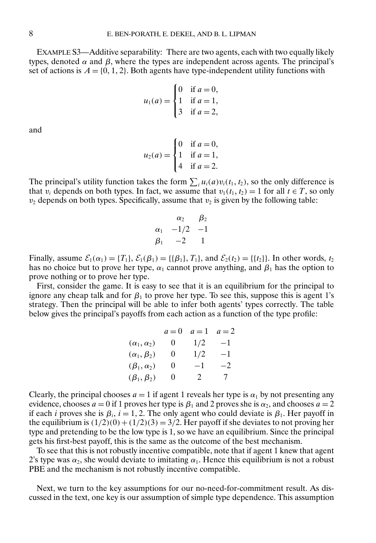EXAMPLE S3—Additive separability: There are two agents, each with two equally likely types, denoted  $\alpha$  and  $\beta$ , where the types are independent across agents. The principal's set of actions is  $A = \{0, 1, 2\}$ . Both agents have type-independent utility functions with

$$
u_1(a) = \begin{cases} 0 & \text{if } a = 0, \\ 1 & \text{if } a = 1, \\ 3 & \text{if } a = 2, \end{cases}
$$

and

$$
u_2(a) = \begin{cases} 0 & \text{if } a = 0, \\ 1 & \text{if } a = 1, \\ 4 & \text{if } a = 2. \end{cases}
$$

The principal's utility function takes the form  $\sum_i u_i(a)v_i(t_1, t_2)$ , so the only difference is that  $v_i$  depends on both types. In fact, we assume that  $v_1(t_1, t_2) = 1$  for all  $t \in T$ , so only  $v_2$  depends on both types. Specifically, assume that  $v_2$  is given by the following table:

$$
\begin{array}{ccc}\n\alpha_2 & \beta_2 \\
\alpha_1 & -1/2 & -1 \\
\beta_1 & -2 & 1\n\end{array}
$$

Finally, assume  $\mathcal{E}_1(\alpha_1) = \{T_1\}, \mathcal{E}_1(\beta_1) = \{\{\beta_1\}, T_1\}, \text{ and } \mathcal{E}_2(t_2) = \{\{t_2\}\}.$  In other words,  $t_2$ has no choice but to prove her type,  $\alpha_1$  cannot prove anything, and  $\beta_1$  has the option to prove nothing or to prove her type.

First, consider the game. It is easy to see that it is an equilibrium for the principal to ignore any cheap talk and for  $\beta_1$  to prove her type. To see this, suppose this is agent 1's strategy. Then the principal will be able to infer both agents' types correctly. The table below gives the principal's payoffs from each action as a function of the type profile:

|                        | $a=0$    | $a=1$ | $a=2$ |
|------------------------|----------|-------|-------|
| $(\alpha_1, \alpha_2)$ | U        | 1/2   | $-1$  |
| $(\alpha_1, \beta_2)$  | $\theta$ | 1/2   | $-1$  |
| $(\beta_1, \alpha_2)$  | 0        | -1    | $-2$  |
| $(\beta_1, \beta_2)$   | $\theta$ | 2     | 7     |

Clearly, the principal chooses  $a = 1$  if agent 1 reveals her type is  $\alpha_1$  by not presenting any evidence, chooses  $a = 0$  if 1 proves her type is  $\beta_1$  and 2 proves she is  $\alpha_2$ , and chooses  $a = 2$ if each *i* proves she is  $\beta_i$ ,  $i = 1, 2$ . The only agent who could deviate is  $\beta_1$ . Her payoff in the equilibrium is  $(1/2)(0) + (1/2)(3) = 3/2$ . Her payoff if she deviates to not proving her type and pretending to be the low type is 1, so we have an equilibrium. Since the principal gets his first-best payoff, this is the same as the outcome of the best mechanism.

To see that this is not robustly incentive compatible, note that if agent 1 knew that agent 2's type was  $\alpha_2$ , she would deviate to imitating  $\alpha_1$ . Hence this equilibrium is not a robust PBE and the mechanism is not robustly incentive compatible.

Next, we turn to the key assumptions for our no-need-for-commitment result. As discussed in the text, one key is our assumption of simple type dependence. This assumption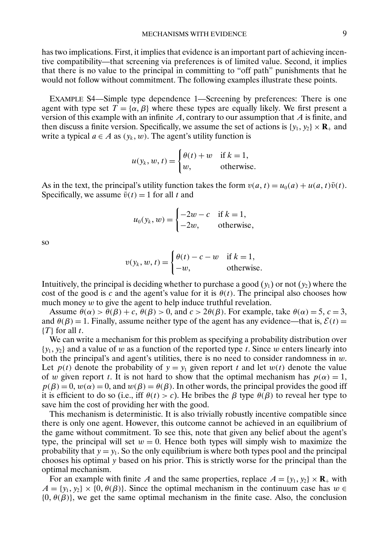<span id="page-8-0"></span>has two implications. First, it implies that evidence is an important part of achieving incentive compatibility—that screening via preferences is of limited value. Second, it implies that there is no value to the principal in committing to "off path" punishments that he would not follow without commitment. The following examples illustrate these points.

EXAMPLE S4—Simple type dependence 1—Screening by preferences: There is one agent with type set  $T = {\alpha, \beta}$  where these types are equally likely. We first present a version of this example with an infinite  $A$ , contrary to our assumption that  $A$  is finite, and then discuss a finite version. Specifically, we assume the set of actions is  $\{y_1, y_2\} \times \mathbf{R}_+$  and write a typical  $a \in A$  as  $(y_k, w)$ . The agent's utility function is

$$
u(y_k, w, t) = \begin{cases} \theta(t) + w & \text{if } k = 1, \\ w, & \text{otherwise.} \end{cases}
$$

As in the text, the principal's utility function takes the form  $v(a, t) = u_0(a) + u(a, t)\overline{v}(t)$ . Specifically, we assume  $\bar{v}(t) = 1$  for all t and

$$
u_0(y_k, w) = \begin{cases} -2w - c & \text{if } k = 1, \\ -2w, & \text{otherwise,} \end{cases}
$$

so

$$
v(y_k, w, t) = \begin{cases} \theta(t) - c - w & \text{if } k = 1, \\ -w, & \text{otherwise.} \end{cases}
$$

Intuitively, the principal is deciding whether to purchase a good  $(y_1)$  or not  $(y_2)$  where the cost of the good is c and the agent's value for it is  $\theta(t)$ . The principal also chooses how much money  $w$  to give the agent to help induce truthful revelation.

Assume  $\theta(\alpha) > \theta(\beta) + c$ ,  $\theta(\beta) > 0$ , and  $c > 2\theta(\beta)$ . For example, take  $\theta(\alpha) = 5$ ,  $c = 3$ , and  $\theta(\beta) = 1$ . Finally, assume neither type of the agent has any evidence—that is,  $\mathcal{E}(t) =$  $\{T\}$  for all t.

We can write a mechanism for this problem as specifying a probability distribution over  $\{y_1, y_2\}$  and a value of w as a function of the reported type t. Since w enters linearly into both the principal's and agent's utilities, there is no need to consider randomness in  $w$ . Let  $p(t)$  denote the probability of  $y = y_1$  given report t and let  $w(t)$  denote the value of w given report t. It is not hard to show that the optimal mechanism has  $p(\alpha) = 1$ ,  $p(\beta) = 0$ ,  $w(\alpha) = 0$ , and  $w(\beta) = \theta(\beta)$ . In other words, the principal provides the good iff it is efficient to do so (i.e., iff  $\theta(t) > c$ ). He bribes the  $\beta$  type  $\theta(\beta)$  to reveal her type to save him the cost of providing her with the good.

This mechanism is deterministic. It is also trivially robustly incentive compatible since there is only one agent. However, this outcome cannot be achieved in an equilibrium of the game without commitment. To see this, note that given any belief about the agent's type, the principal will set  $w = 0$ . Hence both types will simply wish to maximize the probability that  $y = y_1$ . So the only equilibrium is where both types pool and the principal chooses his optimal y based on his prior. This is strictly worse for the principal than the optimal mechanism.

For an example with finite A and the same properties, replace  $A = \{y_1, y_2\} \times \mathbf{R}_+$  with  $A = \{y_1, y_2\} \times \{0, \theta(\beta)\}\)$ . Since the optimal mechanism in the continuum case has  $w \in \mathbb{R}$  ${0, \theta(\beta)}$ , we get the same optimal mechanism in the finite case. Also, the conclusion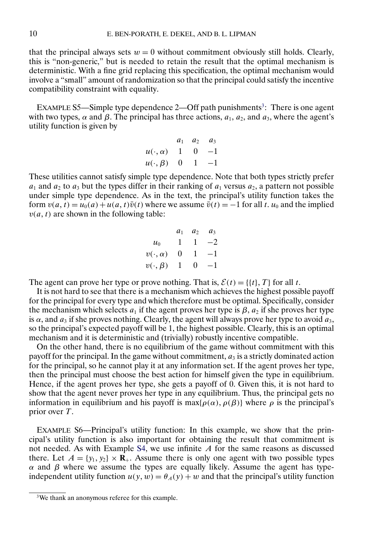that the principal always sets  $w = 0$  without commitment obviously still holds. Clearly, this is "non-generic," but is needed to retain the result that the optimal mechanism is deterministic. With a fine grid replacing this specification, the optimal mechanism would involve a "small" amount of randomization so that the principal could satisfy the incentive compatibility constraint with equality.

EXAMPLE S5—Simple type dependence 2—Off path punishments<sup>3</sup>: There is one agent with two types,  $\alpha$  and  $\beta$ . The principal has three actions,  $a_1$ ,  $a_2$ , and  $a_3$ , where the agent's utility function is given by

$$
a_1 \quad a_2 \quad a_3 \\
u(\cdot, \alpha) \quad 1 \quad 0 \quad -1 \\
u(\cdot, \beta) \quad 0 \quad 1 \quad -1
$$

These utilities cannot satisfy simple type dependence. Note that both types strictly prefer  $a_1$  and  $a_2$  to  $a_3$  but the types differ in their ranking of  $a_1$  versus  $a_2$ , a pattern not possible under simple type dependence. As in the text, the principal's utility function takes the form  $v(a, t) = u_0(a) + u(a, t)\overline{v}(t)$  where we assume  $\overline{v}(t) = -1$  for all t.  $u_0$  and the implied  $v(a, t)$  are shown in the following table:

$$
a_1 \quad a_2 \quad a_3 \\
u_0 \quad 1 \quad 1 \quad -2 \\
v(\cdot, \alpha) \quad 0 \quad 1 \quad -1 \\
v(\cdot, \beta) \quad 1 \quad 0 \quad -1
$$

The agent can prove her type or prove nothing. That is,  $\mathcal{E}(t) = \{ \{t\}, T \}$  for all t.

It is not hard to see that there is a mechanism which achieves the highest possible payoff for the principal for every type and which therefore must be optimal. Specifically, consider the mechanism which selects  $a_1$  if the agent proves her type is  $\beta$ ,  $a_2$  if she proves her type is  $\alpha$ , and  $a_3$  if she proves nothing. Clearly, the agent will always prove her type to avoid  $a_3$ , so the principal's expected payoff will be 1, the highest possible. Clearly, this is an optimal mechanism and it is deterministic and (trivially) robustly incentive compatible.

On the other hand, there is no equilibrium of the game without commitment with this payoff for the principal. In the game without commitment,  $a_3$  is a strictly dominated action for the principal, so he cannot play it at any information set. If the agent proves her type, then the principal must choose the best action for himself given the type in equilibrium. Hence, if the agent proves her type, she gets a payoff of 0. Given this, it is not hard to show that the agent never proves her type in any equilibrium. Thus, the principal gets no information in equilibrium and his payoff is max $\{\rho(\alpha), \rho(\beta)\}$  where  $\rho$  is the principal's prior over T.

EXAMPLE S6—Principal's utility function: In this example, we show that the principal's utility function is also important for obtaining the result that commitment is not needed. As with Example [S4,](#page-8-0) we use infinite  $A$  for the same reasons as discussed there. Let  $A = \{y_1, y_2\} \times \mathbf{R}_+$ . Assume there is only one agent with two possible types α and β where we assume the types are equally likely. Assume the agent has typeindependent utility function  $u(y, w) = \theta_A(y) + w$  and that the principal's utility function

<sup>3</sup>We thank an anonymous referee for this example.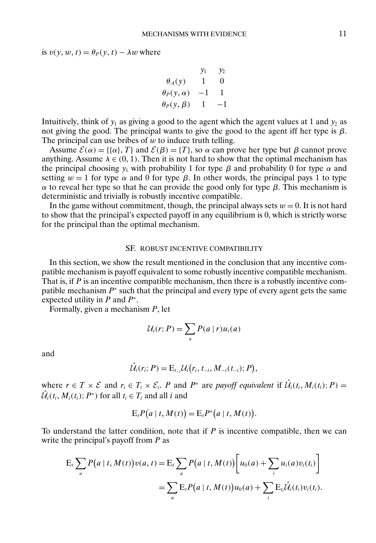is  $v(y, w, t) = \theta_P(y, t) - \lambda w$  where

$$
\begin{array}{ccc}\n & y_1 & y_2 \\
\theta_A(y) & 1 & 0 \\
\theta_P(y, \alpha) & -1 & 1 \\
\theta_P(y, \beta) & 1 & -1\n\end{array}
$$

Intuitively, think of  $y_1$  as giving a good to the agent which the agent values at 1 and  $y_2$  as not giving the good. The principal wants to give the good to the agent iff her type is  $β$ . The principal can use bribes of  $w$  to induce truth telling.

Assume  $\mathcal{E}(\alpha) = \{\{\alpha\}, T\}$  and  $\mathcal{E}(\beta) = \{T\}$ , so  $\alpha$  can prove her type but  $\beta$  cannot prove anything. Assume  $\lambda \in (0, 1)$ . Then it is not hard to show that the optimal mechanism has the principal choosing  $y_1$  with probability 1 for type  $\beta$  and probability 0 for type  $\alpha$  and setting  $w = 1$  for type  $\alpha$  and 0 for type  $\beta$ . In other words, the principal pays 1 to type α to reveal her type so that he can provide the good only for type β. This mechanism is deterministic and trivially is robustly incentive compatible.

In the game without commitment, though, the principal always sets  $w = 0$ . It is not hard to show that the principal's expected payoff in any equilibrium is 0, which is strictly worse for the principal than the optimal mechanism.

#### SF. ROBUST INCENTIVE COMPATIBILITY

In this section, we show the result mentioned in the conclusion that any incentive compatible mechanism is payoff equivalent to some robustly incentive compatible mechanism. That is, if  $P$  is an incentive compatible mechanism, then there is a robustly incentive compatible mechanism  $P^*$  such that the principal and every type of every agent gets the same expected utility in  $P$  and  $P^*$ .

Formally, given a mechanism  $P$ , let

$$
\mathcal{U}_i(r;P) = \sum_a P(a|r)u_i(a)
$$

and

$$
\hat{\mathcal{U}}_i(r_i; P) = \mathbb{E}_{t_{-i}} \mathcal{U}_i(r_i, t_{-i}, M_{-i}(t_{-i}); P),
$$

where  $r \in T \times \mathcal{E}$  and  $r_i \in T_i \times \mathcal{E}_i$ . P and  $P^*$  are *payoff equivalent* if  $\hat{\mathcal{U}}_i(t_i, M_i(t_i); P) =$  $\hat{\mathcal{U}}_i(t_i, M_i(t_i); P^*)$  for all  $t_i \in T_i$  and all  $i$  and

$$
E_t P(a | t, M(t)) = E_t P^*(a | t, M(t)).
$$

To understand the latter condition, note that if  $P$  is incentive compatible, then we can write the principal's payoff from  $P$  as

$$
E_t \sum_a P(a | t, M(t)) v(a, t) = E_t \sum_a P(a | t, M(t)) \Big[ u_0(a) + \sum_i u_i(a) v_i(t_i) \Big]
$$
  
= 
$$
\sum_a E_t P(a | t, M(t)) u_0(a) + \sum_i E_t \hat{U}_t(t_i) v_i(t_i).
$$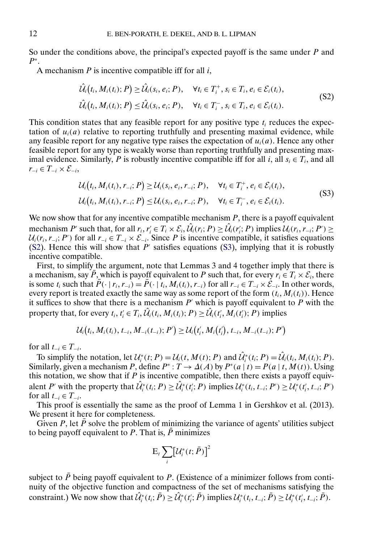So under the conditions above, the principal's expected payoff is the same under  $P$  and  $P^*$ .

A mechanism  $P$  is incentive compatible iff for all  $i$ ,

$$
\hat{\mathcal{U}}_i(t_i, M_i(t_i); P) \geq \hat{\mathcal{U}}_i(s_i, e_i; P), \quad \forall t_i \in T_i^+, s_i \in T_i, e_i \in \mathcal{E}_i(t_i),
$$
\n
$$
\hat{\mathcal{U}}_i(t_i, M_i(t_i); P) \leq \hat{\mathcal{U}}_i(s_i, e_i; P), \quad \forall t_i \in T_i^-, s_i \in T_i, e_i \in \mathcal{E}_i(t_i).
$$
\n(S2)

This condition states that any feasible report for any positive type  $t_i$  reduces the expectation of  $u_i(a)$  relative to reporting truthfully and presenting maximal evidence, while any feasible report for any negative type raises the expectation of  $u_i(a)$ . Hence any other feasible report for any type is weakly worse than reporting truthfully and presenting maximal evidence. Similarly, P is robustly incentive compatible iff for all i, all  $s_i \in T_i$ , and all  $r_{-i} \in T_{-i} \times \mathcal{E}_{-i}$ 

$$
\mathcal{U}_{i}(t_{i}, M_{i}(t_{i}), r_{-i}; P) \ge \mathcal{U}_{i}(s_{i}, e_{i}, r_{-i}; P), \quad \forall t_{i} \in T_{i}^{+}, e_{i} \in \mathcal{E}_{i}(t_{i}), \mathcal{U}_{i}(t_{i}, M_{i}(t_{i}), r_{-i}; P) \le \mathcal{U}_{i}(s_{i}, e_{i}, r_{-i}; P), \quad \forall t_{i} \in T_{i}^{-}, e_{i} \in \mathcal{E}_{i}(t_{i}).
$$
\n(S3)

We now show that for any incentive compatible mechanism  $P$ , there is a payoff equivalent mechanism P' such that, for all  $r_i, r'_i \in T_i \times \mathcal{E}_i, \hat{\mathcal{U}}_i(r_i; P) \geq \hat{\mathcal{U}}_i(r'_i; P)$  implies  $\mathcal{U}_i(r_i, r_{-i}; P') \geq$  $U_i(r_i, r_{-i}; P')$  for all  $r_{-i} \in T_{-i} \times \mathcal{E}_{-i}$ . Since P is incentive compatible, it satisfies equations (S2). Hence this will show that  $P'$  satisfies equations (S3), implying that it is robustly incentive compatible.

First, to simplify the argument, note that Lemmas 3 and 4 together imply that there is a mechanism, say  $\overline{P}$ , which is payoff equivalent to P such that, for every  $r_i \in T_i \times \mathcal{E}_i$ , there is some  $t_i$  such that  $\overline{P}(\cdot | r_i, r_{-i}) = \overline{P}(\cdot | t_i, M_i(t_i), r_{-i})$  for all  $r_{-i} \in T_{-i} \times \mathcal{E}_{-i}$ . In other words, every report is treated exactly the same way as some report of the form  $(t_i, M_i(t_i))$ . Hence it suffices to show that there is a mechanism  $P'$  which is payoff equivalent to  $\overrightarrow{P}$  with the property that, for every  $t_i$ ,  $t'_i \in T_i$ ,  $\hat{\mathcal{U}}_i(t_i, M_i(t_i); P) \geq \hat{\mathcal{U}}_i(t'_i, M_i(t'_i); P)$  implies

$$
\mathcal{U}_i(t_i,M_i(t_i),t_{-i},M_{-i}(t_{-i});P') \geq \mathcal{U}_i(t'_i,M_i(t'_i),t_{-i},M_{-i}(t_{-i});P')
$$

for all  $t_{-i} \in T_{-i}$ .

To simplify the notation, let  $\mathcal{U}_i^*(t;P) = \mathcal{U}_i(t, M(t);P)$  and  $\hat{\mathcal{U}}_i^*(t_i;P) = \hat{\mathcal{U}}_i(t_i, M_i(t_i);P)$ . Similarly, given a mechanism P, define  $P^*$  :  $T \to \Delta(A)$  by  $P^*(a | t) = P(a | t, M(t))$ . Using this notation, we show that if  $P$  is incentive compatible, then there exists a payoff equivalent P' with the property that  $\hat{\mathcal{U}}_i^*(t_i; P) \geq \hat{\mathcal{U}}_i^*(t_i; P)$  implies  $\mathcal{U}_i^*(t_i, t_{-i}; P') \geq \hat{\mathcal{U}}_i^*(t_i', t_{-i}; P')$ for all  $t_{-i} \in T_{-i}$ .

This proof is essentially the same as the proof of Lemma 1 in Gershkov et al. (2013). We present it here for completeness.

Given P, let  $\overline{P}$  solve the problem of minimizing the variance of agents' utilities subject to being payoff equivalent to P. That is,  $\overline{P}$  minimizes

$$
\mathrm{E}_{t}\sum_{i}\bigl[\mathcal{U}_{i}^{*}(t;\bar{P})\bigr]^{2}
$$

subject to  $\overline{P}$  being payoff equivalent to P. (Existence of a minimizer follows from continuity of the objective function and compactness of the set of mechanisms satisfying the constraint.) We now show that  $\hat{\mathcal{U}}_i^*(t_i; \bar{P}) \geq \hat{\mathcal{U}}_i^*(t'_i; \bar{P})$  implies  $\mathcal{U}_i^*(t_i, t_{-i}; \bar{P}) \geq \mathcal{U}_i^*(t'_i, t_{-i}; \bar{P})$ .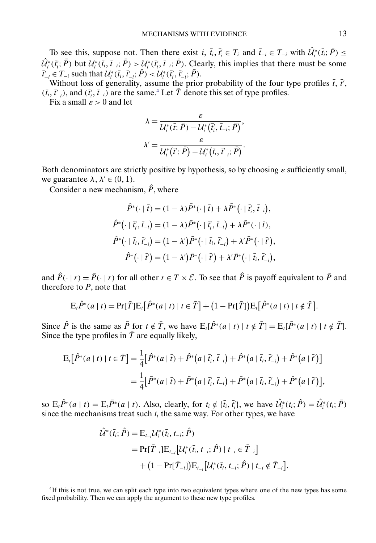To see this, suppose not. Then there exist  $i, \bar{t}_i, \bar{t}_i \in T_i$  and  $\bar{t}_{-i} \in T_{-i}$  with  $\hat{\mathcal{U}}_i^*(\bar{t}_i; \bar{P}) \leq$  $\hat{U}_i^*(\vec{t}_i; \vec{P})$  but  $\mathcal{U}_i^*(\vec{t}_i, \vec{t}_{-i}; \vec{P}) > \mathcal{U}_i^*(\vec{t}_i', \vec{t}_{-i}; \vec{P})$ . Clearly, this implies that there must be some  $\bar{t}'_{-i} \in T_{-i}$  such that  $\mathcal{U}^*_i(\bar{t}_i, \bar{t}'_{-i}; \bar{P}) < \mathcal{U}^*_i(\bar{t}'_i, \bar{t}'_{-i}; \bar{P}).$ 

Without loss of generality, assume the prior probability of the four type profiles  $\bar{t}$ ,  $\bar{t}'$ , Without loss of generality, assume the prior probability of the four type profiles  $\bar{t}$ ,  $\bar{t}'$ ,  $(\bar{t}_i, \bar{t}'_{-i})$ , and  $(\bar{t}'_i, \bar{t}_{-i})$  are the same.<sup>4</sup> Let  $\bar{T}$  denote this set of type profiles.

Fix a small  $\varepsilon > 0$  and let

$$
\lambda = \frac{\varepsilon}{\mathcal{U}_i^*(\bar{t}; \bar{P}) - \mathcal{U}_i^*(\bar{t}_i', \bar{t}_{-i}; \bar{P})},
$$

$$
\lambda' = \frac{\varepsilon}{\mathcal{U}_i^*(\bar{t}'; \bar{P}) - \mathcal{U}_i^*(\bar{t}_i, \bar{t}_{-i}; \bar{P})}.
$$

Both denominators are strictly positive by hypothesis, so by choosing  $\varepsilon$  sufficiently small, we guarantee  $\lambda, \lambda' \in (0, 1)$ .

Consider a new mechanism,  $\hat{P}$ , where

$$
\hat{P}^*(\cdot | \bar{t}) = (1 - \lambda)\bar{P}^*(\cdot | \bar{t}) + \lambda \bar{P}^*(\cdot | \bar{t}'_i, \bar{t}_{-i}),
$$
\n
$$
\hat{P}^*(\cdot | \bar{t}'_i, \bar{t}_{-i}) = (1 - \lambda)\bar{P}^*(\cdot | \bar{t}'_i, \bar{t}_{-i}) + \lambda \bar{P}^*(\cdot | \bar{t}),
$$
\n
$$
\hat{P}^*(\cdot | \bar{t}_i, \bar{t}'_{-i}) = (1 - \lambda')\bar{P}^*(\cdot | \bar{t}_i, \bar{t}'_{-i}) + \lambda'\bar{P}^*(\cdot | \bar{t}'),
$$
\n
$$
\hat{P}^*(\cdot | \bar{t}') = (1 - \lambda')\bar{P}^*(\cdot | \bar{t}') + \lambda'\bar{P}^*(\cdot | \bar{t}_i, \bar{t}'_{-i}),
$$

and  $\hat{P}(\cdot | r) = \bar{P}(\cdot | r)$  for all other  $r \in T \times \mathcal{E}$ . To see that  $\hat{P}$  is payoff equivalent to  $\bar{P}$  and therefore to  $P$ , note that

$$
\mathbf{E}_{t}\hat{P}^*(a|t) = \Pr[\bar{T}]\mathbf{E}_{t}[\hat{P}^*(a|t)|t \in \bar{T}] + (1 - \Pr[\bar{T}])\mathbf{E}_{t}[\hat{P}^*(a|t)|t \notin \bar{T}].
$$

Since  $\hat{P}$  is the same as  $\bar{P}$  for  $t \notin \bar{T}$ , we have  $E_t[\hat{P}^*(a | t) | t \notin \bar{T}] = E_t[\bar{P}^*(a | t) | t \notin \bar{T}].$ Since the type profiles in  $\overline{T}$  are equally likely,

$$
E_{t}[\hat{P}^{*}(a|t)|t \in \bar{T}] = \frac{1}{4}[\hat{P}^{*}(a|\bar{t}) + \hat{P}^{*}(a|\bar{t}'_{i}, \bar{t}_{-i}) + \hat{P}^{*}(a|\bar{t}_{i}, \bar{t}'_{-i}) + \hat{P}^{*}(a|\bar{t}')]
$$
  
= 
$$
\frac{1}{4}[\bar{P}^{*}(a|\bar{t}) + \bar{P}^{*}(a|\bar{t}'_{i}, \bar{t}_{-i}) + \bar{P}^{*}(a|\bar{t}_{i}, \bar{t}'_{-i}) + \bar{P}^{*}(a|\bar{t}')],
$$

so  $E_t \hat{P}^*(a | t) = E_t \bar{P}^*(a | t)$ . Also, clearly, for  $t_i \notin \{\bar{t}_i, \bar{t}_i'\}$ , we have  $\hat{U}_i^*(t_i; \hat{P}) = \hat{U}_i^*(t_i; \bar{P})$ since the mechanisms treat such  $t_i$  the same way. For other types, we have

$$
\hat{\mathcal{U}}^{*}(\bar{t}_{i};\hat{P}) = \mathbf{E}_{t_{-i}} \mathcal{U}_{i}^{*}(\bar{t}_{i}, t_{-i}; \hat{P})
$$
\n
$$
= \Pr[\bar{T}_{-i}] \mathbf{E}_{t_{-i}} [\mathcal{U}_{i}^{*}(\bar{t}_{i}, t_{-i}; \hat{P}) \mid t_{-i} \in \bar{T}_{-i}]
$$
\n
$$
+ (1 - \Pr[\bar{T}_{-i}]) \mathbf{E}_{t_{-i}} [\mathcal{U}_{i}^{*}(\bar{t}_{i}, t_{-i}; \hat{P}) \mid t_{-i} \notin \bar{T}_{-i}].
$$

<sup>4</sup>If this is not true, we can split each type into two equivalent types where one of the new types has some fixed probability. Then we can apply the argument to these new type profiles.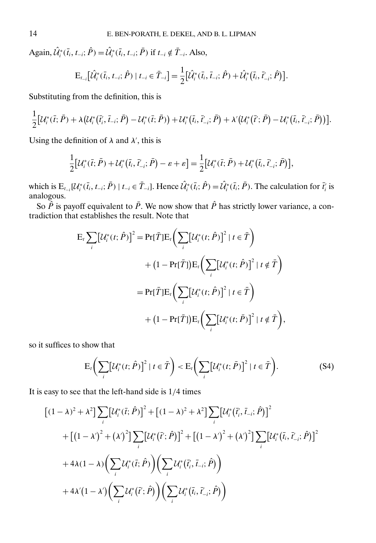<span id="page-13-0"></span>Again,  $\hat{U}_i^*(\bar{t}_i, t_{-i}; \hat{P}) = \hat{U}_i^*(\bar{t}_i, t_{-i}; \bar{P})$  if  $t_{-i} \notin \bar{T}_{-i}$ . Also,

$$
\mathrm{E}_{t_{-i}}\big[\hat{\mathcal{U}}_{i}^{*}(\bar{t}_{i},t_{-i};\hat{P})\mid t_{-i}\in\bar{T}_{-i}\big]=\frac{1}{2}\big[\hat{\mathcal{U}}_{i}^{*}(\bar{t}_{i},\bar{t}_{-i};\hat{P})+\hat{\mathcal{U}}_{i}^{*}(\bar{t}_{i},\bar{t}_{-i};\hat{P})\big].
$$

Substituting from the definition, this is

$$
\frac{1}{2}[\mathcal{U}_{i}^{*}(\bar{t};\bar{P})+\lambda(\mathcal{U}_{i}^{*}(\bar{t}'_{i},\bar{t}_{-i};\bar{P})-\mathcal{U}_{i}^{*}(\bar{t};\bar{P}))+\mathcal{U}_{i}^{*}(\bar{t}_{i},\bar{t}'_{-i};\bar{P})+\lambda'(\mathcal{U}_{i}^{*}(\bar{t}';\bar{P})-\mathcal{U}_{i}^{*}(\bar{t}_{i},\bar{t}'_{-i};\bar{P}))].
$$

Using the definition of  $\lambda$  and  $\lambda'$ , this is

$$
\frac{1}{2}[\mathcal{U}_{i}^{*}(\bar{t};\bar{P}) + \mathcal{U}_{i}^{*}(\bar{t}_{i},\bar{t}'_{-i};\bar{P}) - \varepsilon + \varepsilon] = \frac{1}{2}[\mathcal{U}_{i}^{*}(\bar{t};\bar{P}) + \mathcal{U}_{i}^{*}(\bar{t}_{i},\bar{t}'_{-i};\bar{P})],
$$

which is  $E_{t_{-i}}[\mathcal{U}_i^*(\bar{t}_i, t_{-i}; \bar{P}) | t_{-i} \in \bar{T}_{-i}]$ . Hence  $\hat{\mathcal{U}}_i^*(\bar{t}_i; \hat{P}) = \hat{\mathcal{U}}_i^*(\bar{t}_i; \bar{P})$ . The calculation for  $\bar{t}_i$  is analogous.

So  $\tilde{P}$  is payoff equivalent to  $\tilde{P}$ . We now show that  $\hat{P}$  has strictly lower variance, a contradiction that establishes the result. Note that

$$
E_{t} \sum_{i} [U_{i}^{*}(t; \hat{P})]^{2} = Pr[\bar{T}] E_{t} \bigg( \sum_{i} [U_{i}^{*}(t; \hat{P})]^{2} | t \in \bar{T} \bigg)
$$
  
+ 
$$
(1 - Pr[\bar{T}]) E_{t} \bigg( \sum_{i} [U_{i}^{*}(t; \hat{P})]^{2} | t \notin \bar{T} \bigg)
$$
  
= 
$$
Pr[\bar{T}] E_{t} \bigg( \sum_{i} [U_{i}^{*}(t; \hat{P})]^{2} | t \in \bar{T} \bigg)
$$
  
+ 
$$
(1 - Pr[\bar{T}]) E_{t} \bigg( \sum_{i} [U_{i}^{*}(t; \bar{P})]^{2} | t \notin \bar{T} \bigg),
$$

so it suffices to show that

$$
\mathcal{E}_t\bigg(\sum_i\big[\mathcal{U}_i^*(t;\hat{P})\big]^2\mid t\in\bar{T}\bigg) < \mathcal{E}_t\bigg(\sum_i\big[\mathcal{U}_i^*(t;\bar{P})\big]^2\mid t\in\bar{T}\bigg). \tag{S4}
$$

It is easy to see that the left-hand side is 1/4 times

$$
\begin{aligned}\n\left[(1-\lambda)^2 + \lambda^2\right] &\sum_i \left[\mathcal{U}_i^*(\bar{t};\hat{P})\right]^2 + \left[(1-\lambda)^2 + \lambda^2\right] \sum_i \left[\mathcal{U}_i^*(\bar{t}_i',\bar{t}_{-i};\hat{P})\right]^2 \\
&+ \left[(1-\lambda')^2 + \left(\lambda'\right)^2\right] \sum_i \left[\mathcal{U}_i^*(\bar{t}';\hat{P})\right]^2 + \left[(1-\lambda')^2 + \left(\lambda'\right)^2\right] \sum_i \left[\mathcal{U}_i^*(\bar{t}_i,\bar{t}_{-i};\hat{P})\right]^2 \\
&+ 4\lambda(1-\lambda) \left(\sum_i \mathcal{U}_i^*(\bar{t};\hat{P})\right) \left(\sum_i \mathcal{U}_i^*(\bar{t}_i',\bar{t}_{-i};\hat{P})\right) \\
&+ 4\lambda'(1-\lambda') \left(\sum_i \mathcal{U}_i^*(\bar{t}';\hat{P})\right) \left(\sum_i \mathcal{U}_i^*(\bar{t}_i,\bar{t}_{-i};\hat{P})\right)\n\end{aligned}
$$